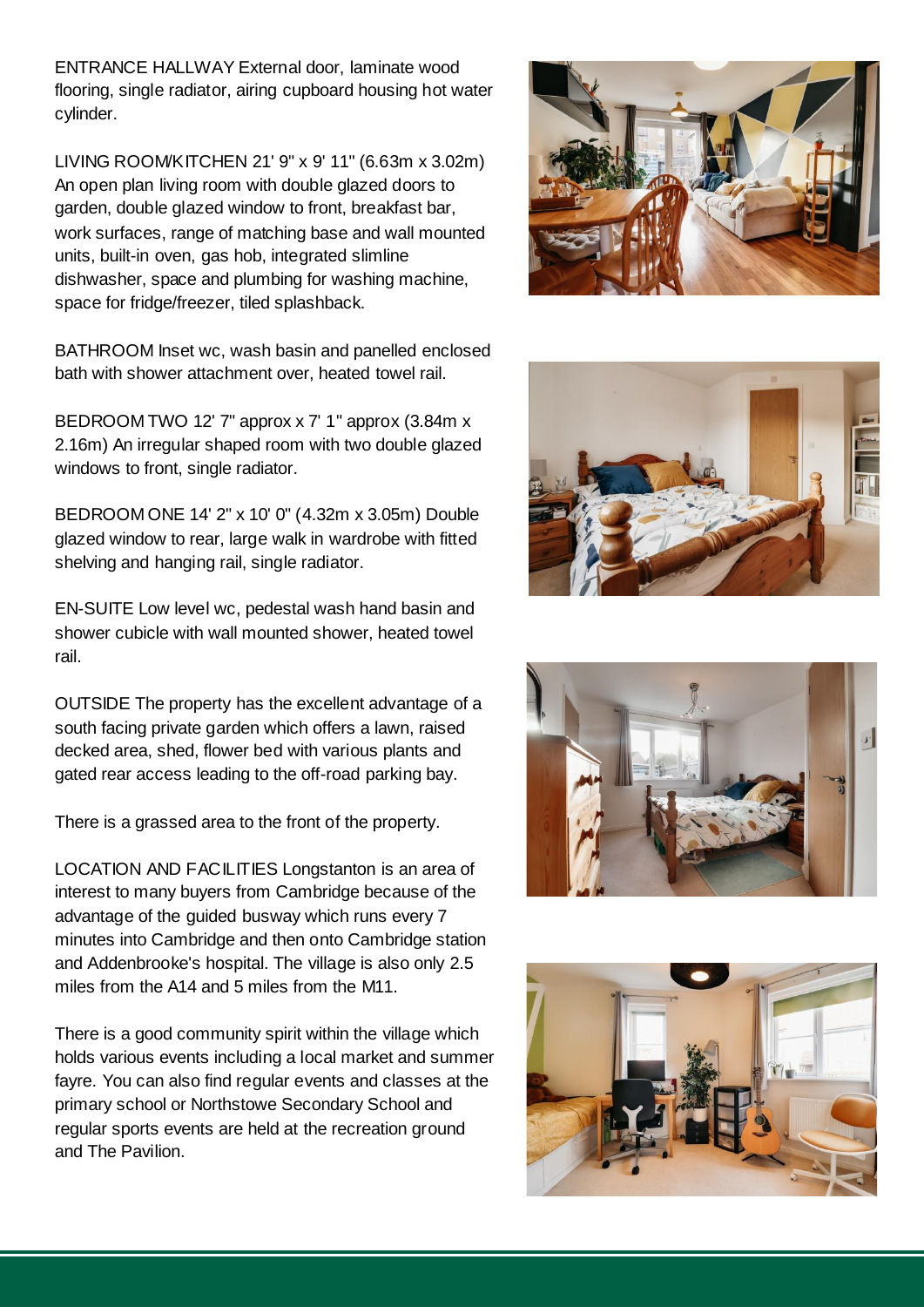ENTRANCE HALLWAY External door, laminate wood flooring, single radiator, airing cupboard housing hot water cylinder.

LIVING ROOM/KITCHEN 21' 9" x 9' 11" (6.63m x 3.02m) An open plan living room with double glazed doors to garden, double glazed window to front, breakfast bar, work surfaces, range of matching base and wall mounted units, built-in oven, gas hob, integrated slimline dishwasher, space and plumbing for washing machine, space for fridge/freezer, tiled splashback.

BATHROOM Inset wc, wash basin and panelled enclosed bath with shower attachment over, heated towel rail.

BEDROOM TWO 12' 7" approx x 7' 1" approx (3.84m x 2.16m) An irregular shaped room with two double glazed windows to front, single radiator.

BEDROOM ONE 14' 2" x 10' 0" (4.32m x 3.05m) Double glazed window to rear, large walk in wardrobe with fitted shelving and hanging rail, single radiator.

EN-SUITE Low level wc, pedestal wash hand basin and shower cubicle with wall mounted shower, heated towel rail.

OUTSIDE The property has the excellent advantage of a south facing private garden which offers a lawn, raised decked area, shed, flower bed with various plants and gated rear access leading to the off-road parking bay.

There is a grassed area to the front of the property.

LOCATION AND FACILITIES Longstanton is an area of interest to many buyers from Cambridge because of the advantage of the guided busway which runs every 7 minutes into Cambridge and then onto Cambridge station and Addenbrooke's hospital. The village is also only 2.5 miles from the A14 and 5 miles from the M11.

There is a good community spirit within the village which holds various events including a local market and summer fayre. You can also find regular events and classes at the primary school or Northstowe Secondary School and regular sports events are held at the recreation ground and The Pavilion.







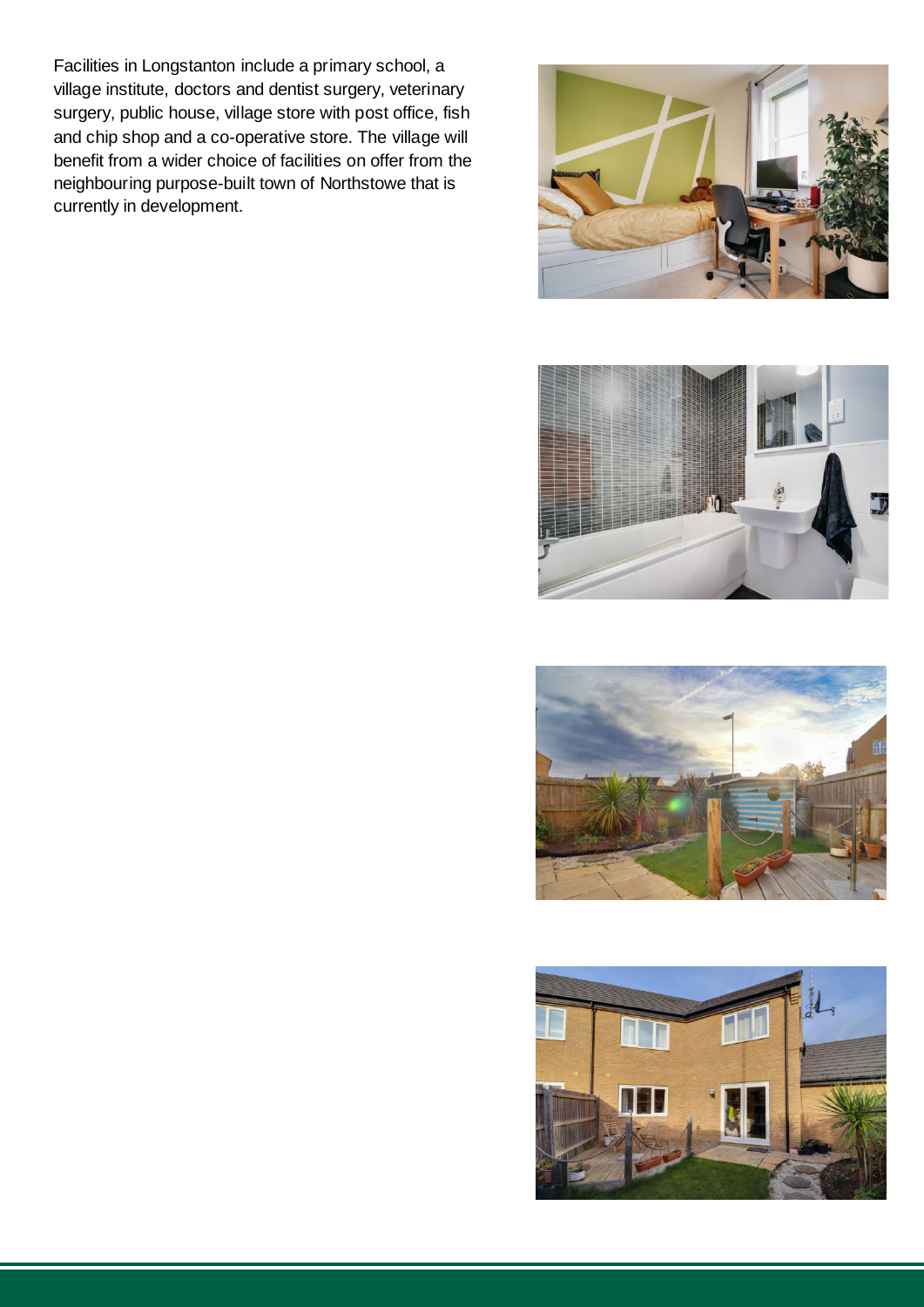Facilities in Longstanton include a primary school, a village institute, doctors and dentist surgery, veterinary surgery, public house, village store with post office, fish and chip shop and a co-operative store. The village will benefit from a wider choice of facilities on offer from the neighbouring purpose-built town of Northstowe that is currently in development.







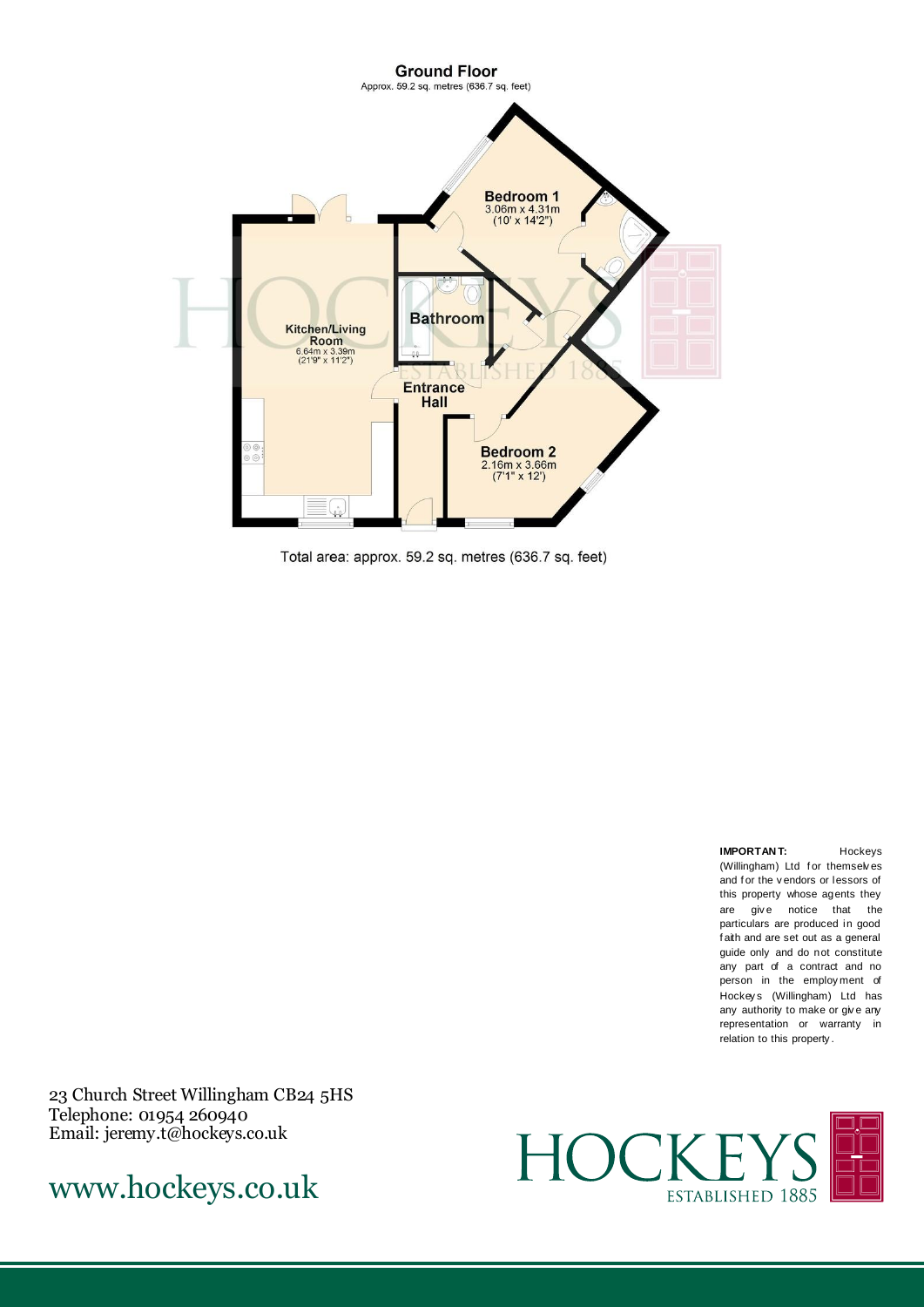

Total area: approx. 59.2 sq. metres (636.7 sq. feet)

**IMPORTAN T:** Hockeys (Willingham) Ltd for themselves and f or the v endors or lessors of this property whose agents they are give notice that the particulars are produced in good f aith and are set out as a general guide only and do not constitute any part of a contract and no person in the employ ment of Hockey s (Willingham) Ltd has any authority to make or give any representation or warranty in relation to this property .

23 Church Street Willingham CB24 5HS Telephone: 01954 260940 Email: jeremy.t@hockeys.co.uk